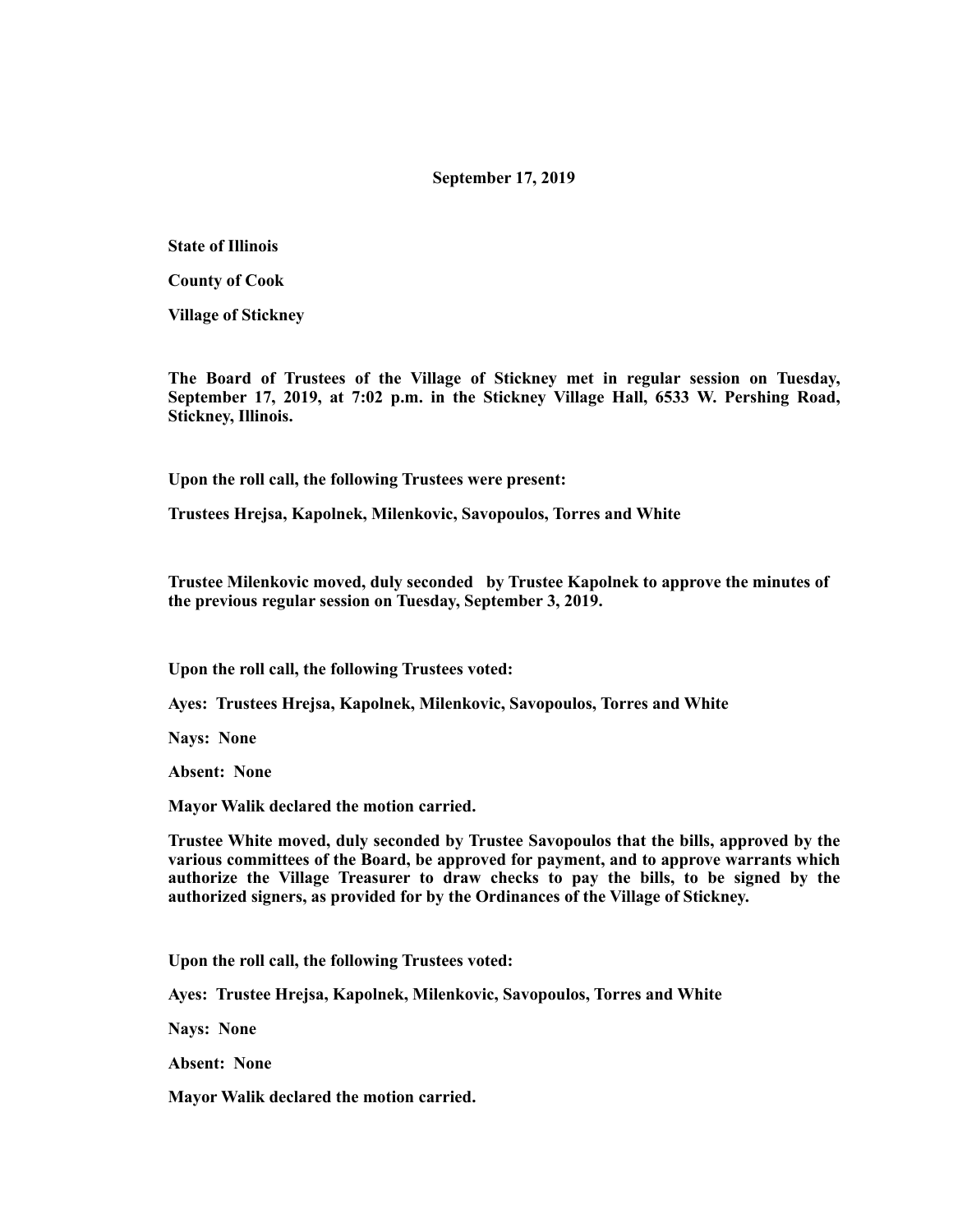## **September 17, 2019**

**State of Illinois** 

**County of Cook** 

**Village of Stickney** 

**The Board of Trustees of the Village of Stickney met in regular session on Tuesday, September 17, 2019, at 7:02 p.m. in the Stickney Village Hall, 6533 W. Pershing Road, Stickney, Illinois.** 

**Upon the roll call, the following Trustees were present:** 

**Trustees Hrejsa, Kapolnek, Milenkovic, Savopoulos, Torres and White** 

**Trustee Milenkovic moved, duly seconded by Trustee Kapolnek to approve the minutes of the previous regular session on Tuesday, September 3, 2019.** 

**Upon the roll call, the following Trustees voted:** 

**Ayes: Trustees Hrejsa, Kapolnek, Milenkovic, Savopoulos, Torres and White** 

**Nays: None** 

**Absent: None** 

**Mayor Walik declared the motion carried.** 

**Trustee White moved, duly seconded by Trustee Savopoulos that the bills, approved by the various committees of the Board, be approved for payment, and to approve warrants which authorize the Village Treasurer to draw checks to pay the bills, to be signed by the authorized signers, as provided for by the Ordinances of the Village of Stickney.** 

**Upon the roll call, the following Trustees voted:** 

**Ayes: Trustee Hrejsa, Kapolnek, Milenkovic, Savopoulos, Torres and White** 

**Nays: None** 

**Absent: None** 

**Mayor Walik declared the motion carried.**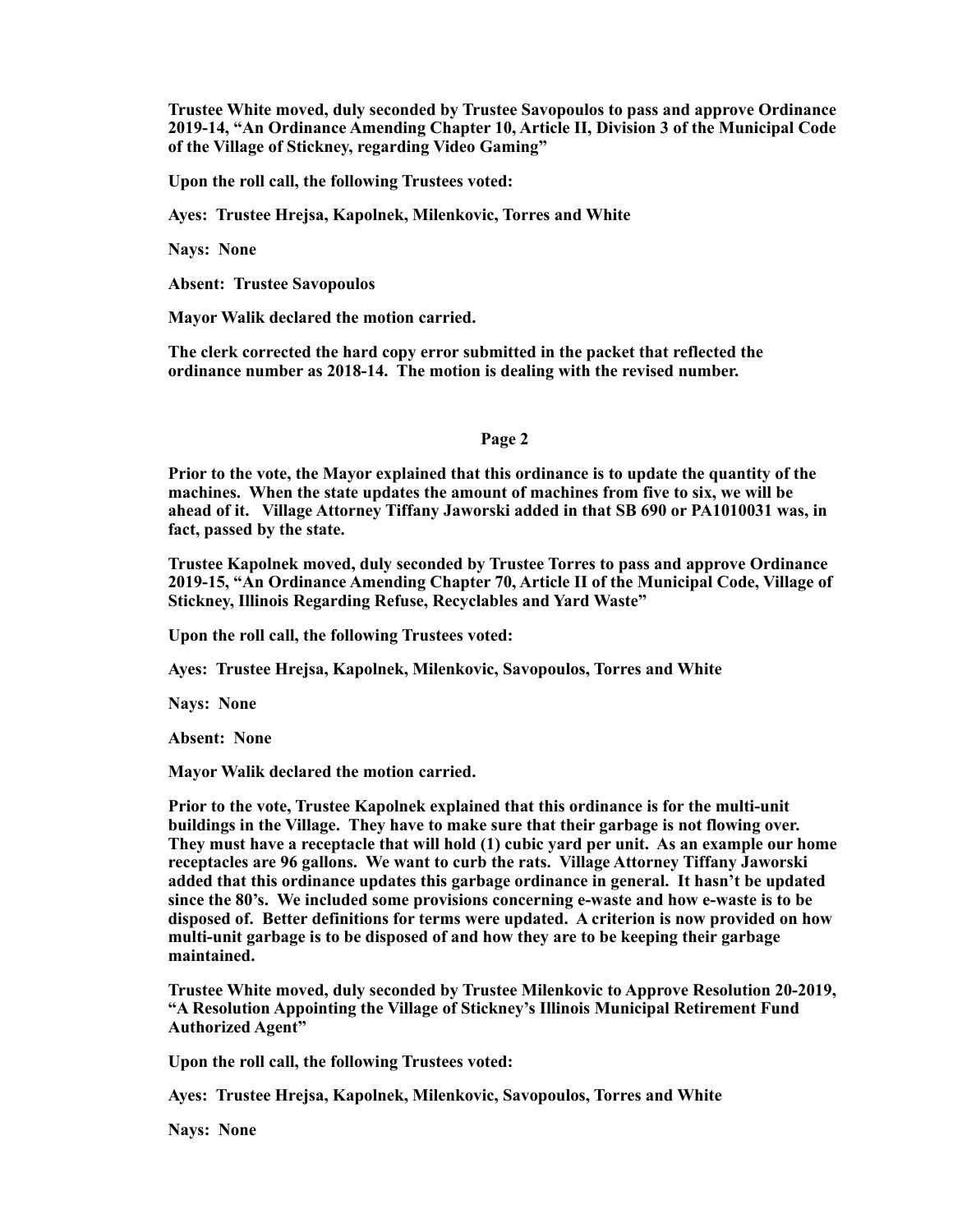**Trustee White moved, duly seconded by Trustee Savopoulos to pass and approve Ordinance 2019-14, "An Ordinance Amending Chapter 10, Article II, Division 3 of the Municipal Code of the Village of Stickney, regarding Video Gaming"** 

**Upon the roll call, the following Trustees voted:** 

**Ayes: Trustee Hrejsa, Kapolnek, Milenkovic, Torres and White** 

**Nays: None** 

**Absent: Trustee Savopoulos** 

**Mayor Walik declared the motion carried.** 

**The clerk corrected the hard copy error submitted in the packet that reflected the ordinance number as 2018-14. The motion is dealing with the revised number.** 

### **Page 2**

**Prior to the vote, the Mayor explained that this ordinance is to update the quantity of the machines. When the state updates the amount of machines from five to six, we will be ahead of it. Village Attorney Tiffany Jaworski added in that SB 690 or PA1010031 was, in fact, passed by the state.** 

**Trustee Kapolnek moved, duly seconded by Trustee Torres to pass and approve Ordinance 2019-15, "An Ordinance Amending Chapter 70, Article II of the Municipal Code, Village of Stickney, Illinois Regarding Refuse, Recyclables and Yard Waste"** 

**Upon the roll call, the following Trustees voted:** 

**Ayes: Trustee Hrejsa, Kapolnek, Milenkovic, Savopoulos, Torres and White** 

**Nays: None** 

**Absent: None** 

**Mayor Walik declared the motion carried.** 

**Prior to the vote, Trustee Kapolnek explained that this ordinance is for the multi-unit buildings in the Village. They have to make sure that their garbage is not flowing over. They must have a receptacle that will hold (1) cubic yard per unit. As an example our home receptacles are 96 gallons. We want to curb the rats. Village Attorney Tiffany Jaworski added that this ordinance updates this garbage ordinance in general. It hasn't be updated since the 80's. We included some provisions concerning e-waste and how e-waste is to be disposed of. Better definitions for terms were updated. A criterion is now provided on how multi-unit garbage is to be disposed of and how they are to be keeping their garbage maintained.** 

**Trustee White moved, duly seconded by Trustee Milenkovic to Approve Resolution 20-2019, "A Resolution Appointing the Village of Stickney's Illinois Municipal Retirement Fund Authorized Agent"** 

**Upon the roll call, the following Trustees voted:** 

**Ayes: Trustee Hrejsa, Kapolnek, Milenkovic, Savopoulos, Torres and White** 

**Nays: None**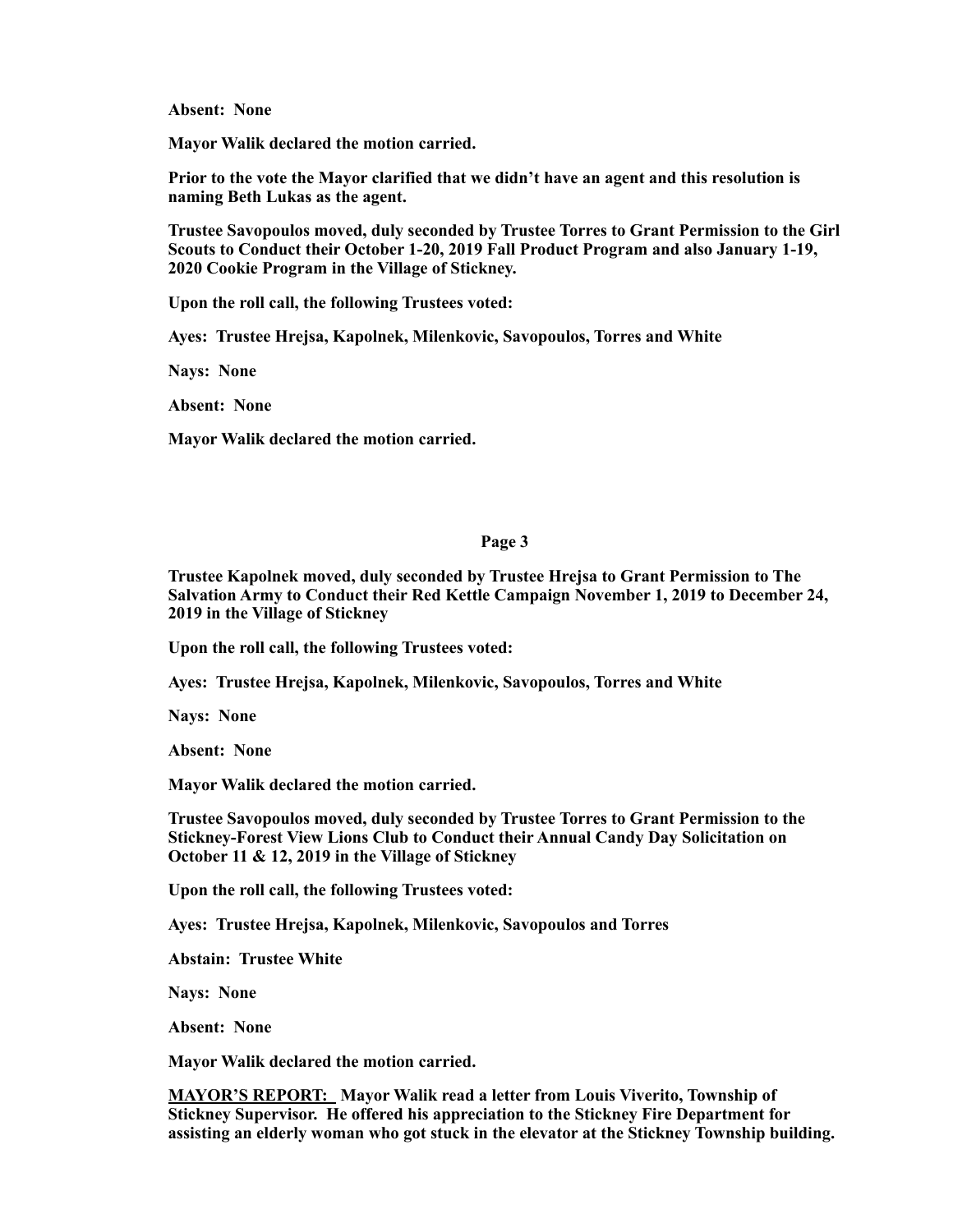**Absent: None** 

**Mayor Walik declared the motion carried.** 

**Prior to the vote the Mayor clarified that we didn't have an agent and this resolution is naming Beth Lukas as the agent.** 

**Trustee Savopoulos moved, duly seconded by Trustee Torres to Grant Permission to the Girl Scouts to Conduct their October 1-20, 2019 Fall Product Program and also January 1-19, 2020 Cookie Program in the Village of Stickney.** 

**Upon the roll call, the following Trustees voted:** 

**Ayes: Trustee Hrejsa, Kapolnek, Milenkovic, Savopoulos, Torres and White** 

**Nays: None** 

**Absent: None** 

**Mayor Walik declared the motion carried.** 

# **Page 3**

**Trustee Kapolnek moved, duly seconded by Trustee Hrejsa to Grant Permission to The Salvation Army to Conduct their Red Kettle Campaign November 1, 2019 to December 24, 2019 in the Village of Stickney** 

**Upon the roll call, the following Trustees voted:** 

**Ayes: Trustee Hrejsa, Kapolnek, Milenkovic, Savopoulos, Torres and White** 

**Nays: None** 

**Absent: None** 

**Mayor Walik declared the motion carried.** 

**Trustee Savopoulos moved, duly seconded by Trustee Torres to Grant Permission to the Stickney-Forest View Lions Club to Conduct their Annual Candy Day Solicitation on October 11 & 12, 2019 in the Village of Stickney** 

**Upon the roll call, the following Trustees voted:** 

**Ayes: Trustee Hrejsa, Kapolnek, Milenkovic, Savopoulos and Torres** 

**Abstain: Trustee White** 

**Nays: None** 

**Absent: None** 

**Mayor Walik declared the motion carried.** 

**MAYOR'S REPORT: Mayor Walik read a letter from Louis Viverito, Township of Stickney Supervisor. He offered his appreciation to the Stickney Fire Department for assisting an elderly woman who got stuck in the elevator at the Stickney Township building.**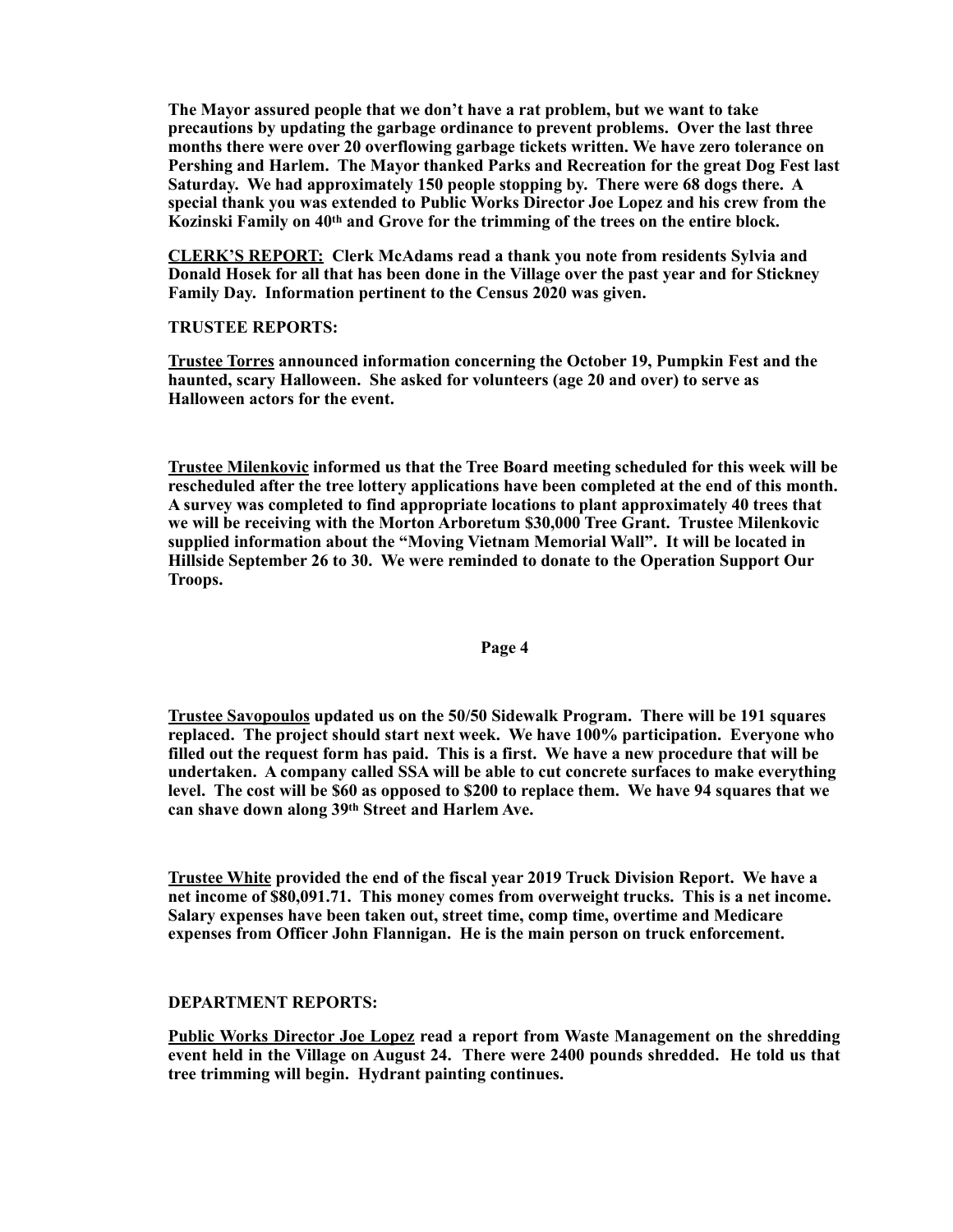**The Mayor assured people that we don't have a rat problem, but we want to take precautions by updating the garbage ordinance to prevent problems. Over the last three months there were over 20 overflowing garbage tickets written. We have zero tolerance on Pershing and Harlem. The Mayor thanked Parks and Recreation for the great Dog Fest last Saturday. We had approximately 150 people stopping by. There were 68 dogs there. A special thank you was extended to Public Works Director Joe Lopez and his crew from the**  Kozinski Family on 40<sup>th</sup> and Grove for the trimming of the trees on the entire block.

**CLERK'S REPORT: Clerk McAdams read a thank you note from residents Sylvia and Donald Hosek for all that has been done in the Village over the past year and for Stickney Family Day. Information pertinent to the Census 2020 was given.** 

# **TRUSTEE REPORTS:**

**Trustee Torres announced information concerning the October 19, Pumpkin Fest and the haunted, scary Halloween. She asked for volunteers (age 20 and over) to serve as Halloween actors for the event.** 

**Trustee Milenkovic informed us that the Tree Board meeting scheduled for this week will be rescheduled after the tree lottery applications have been completed at the end of this month. A survey was completed to find appropriate locations to plant approximately 40 trees that we will be receiving with the Morton Arboretum \$30,000 Tree Grant. Trustee Milenkovic supplied information about the "Moving Vietnam Memorial Wall". It will be located in Hillside September 26 to 30. We were reminded to donate to the Operation Support Our Troops.** 

### **Page 4**

**Trustee Savopoulos updated us on the 50/50 Sidewalk Program. There will be 191 squares replaced. The project should start next week. We have 100% participation. Everyone who filled out the request form has paid. This is a first. We have a new procedure that will be undertaken. A company called SSA will be able to cut concrete surfaces to make everything level. The cost will be \$60 as opposed to \$200 to replace them. We have 94 squares that we can shave down along 39th Street and Harlem Ave.** 

**Trustee White provided the end of the fiscal year 2019 Truck Division Report. We have a net income of \$80,091.71. This money comes from overweight trucks. This is a net income. Salary expenses have been taken out, street time, comp time, overtime and Medicare expenses from Officer John Flannigan. He is the main person on truck enforcement.** 

### **DEPARTMENT REPORTS:**

**Public Works Director Joe Lopez read a report from Waste Management on the shredding event held in the Village on August 24. There were 2400 pounds shredded. He told us that tree trimming will begin. Hydrant painting continues.**